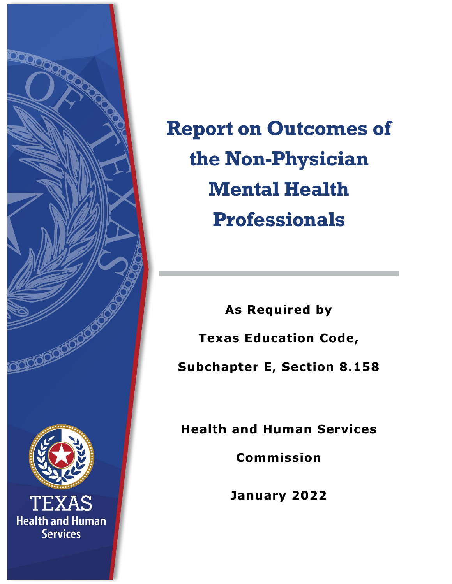

**Report on Outcomes of the Non-Physician Mental Health Professionals**

**As Required by Texas Education Code, Subchapter E, Section 8.158** 

**Health and Human Services** 

**Commission** 

**January 2022**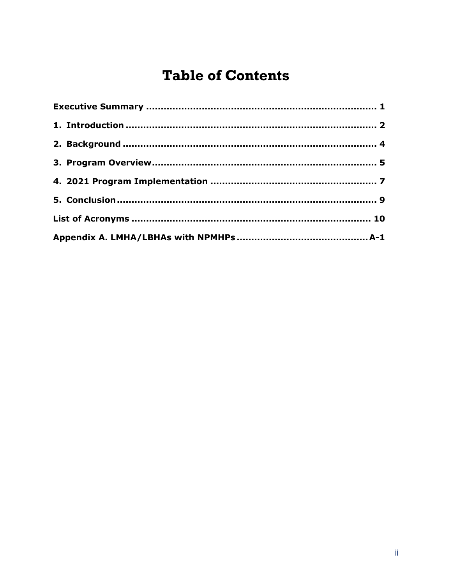# **Table of Contents**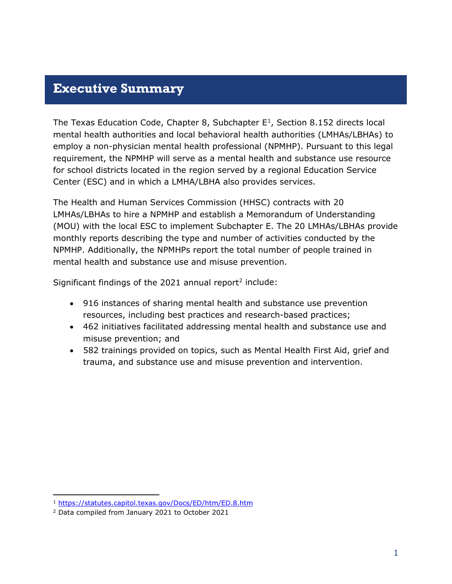#### <span id="page-2-0"></span>**Executive Summary**

The Texas Education Code, Chapter 8, Subchapter  $E^1$  $E^1$ , Section 8.152 directs local mental health authorities and local behavioral health authorities (LMHAs/LBHAs) to employ a non-physician mental health professional (NPMHP). Pursuant to this legal requirement, the NPMHP will serve as a mental health and substance use resource for school districts located in the region served by a regional Education Service Center (ESC) and in which a LMHA/LBHA also provides services.

The Health and Human Services Commission (HHSC) contracts with 20 LMHAs/LBHAs to hire a NPMHP and establish a Memorandum of Understanding (MOU) with the local ESC to implement Subchapter E. The 20 LMHAs/LBHAs provide monthly reports describing the type and number of activities conducted by the NPMHP. Additionally, the NPMHPs report the total number of people trained in mental health and substance use and misuse prevention.

Significant findings of the [2](#page-2-2)021 annual report<sup>2</sup> include:

- 916 instances of sharing mental health and substance use prevention resources, including best practices and research-based practices;
- 462 initiatives facilitated addressing mental health and substance use and misuse prevention; and
- 582 trainings provided on topics, such as Mental Health First Aid, grief and trauma, and substance use and misuse prevention and intervention.

<span id="page-2-1"></span><sup>1</sup> <https://statutes.capitol.texas.gov/Docs/ED/htm/ED.8.htm>

<span id="page-2-2"></span><sup>2</sup> Data compiled from January 2021 to October 2021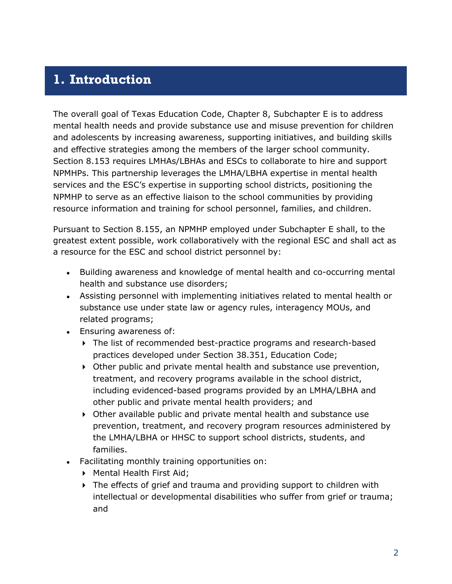#### <span id="page-3-0"></span>**1. Introduction**

The overall goal of Texas Education Code, Chapter 8, Subchapter E is to address mental health needs and provide substance use and misuse prevention for children and adolescents by increasing awareness, supporting initiatives, and building skills and effective strategies among the members of the larger school community. Section 8.153 requires LMHAs/LBHAs and ESCs to collaborate to hire and support NPMHPs. This partnership leverages the LMHA/LBHA expertise in mental health services and the ESC's expertise in supporting school districts, positioning the NPMHP to serve as an effective liaison to the school communities by providing resource information and training for school personnel, families, and children.

Pursuant to Section 8.155, an NPMHP employed under Subchapter E shall, to the greatest extent possible, work collaboratively with the regional ESC and shall act as a resource for the ESC and school district personnel by:

- Building awareness and knowledge of mental health and co-occurring mental health and substance use disorders;
- Assisting personnel with implementing initiatives related to mental health or substance use under state law or agency rules, interagency MOUs, and related programs;
- Ensuring awareness of:
	- The list of recommended best-practice programs and research-based practices developed under Section 38.351, Education Code;
	- Other public and private mental health and substance use prevention, treatment, and recovery programs available in the school district, including evidenced-based programs provided by an LMHA/LBHA and other public and private mental health providers; and
	- Other available public and private mental health and substance use prevention, treatment, and recovery program resources administered by the LMHA/LBHA or HHSC to support school districts, students, and families.
- Facilitating monthly training opportunities on:
	- ▶ Mental Health First Aid;
	- The effects of grief and trauma and providing support to children with intellectual or developmental disabilities who suffer from grief or trauma; and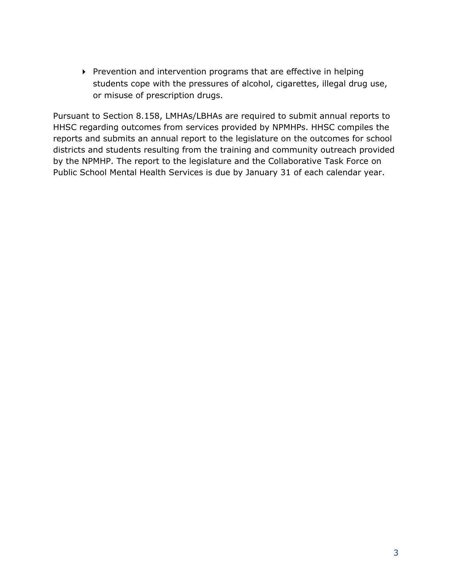Prevention and intervention programs that are effective in helping students cope with the pressures of alcohol, cigarettes, illegal drug use, or misuse of prescription drugs.

Pursuant to Section 8.158, LMHAs/LBHAs are required to submit annual reports to HHSC regarding outcomes from services provided by NPMHPs. HHSC compiles the reports and submits an annual report to the legislature on the outcomes for school districts and students resulting from the training and community outreach provided by the NPMHP. The report to the legislature and the Collaborative Task Force on Public School Mental Health Services is due by January 31 of each calendar year.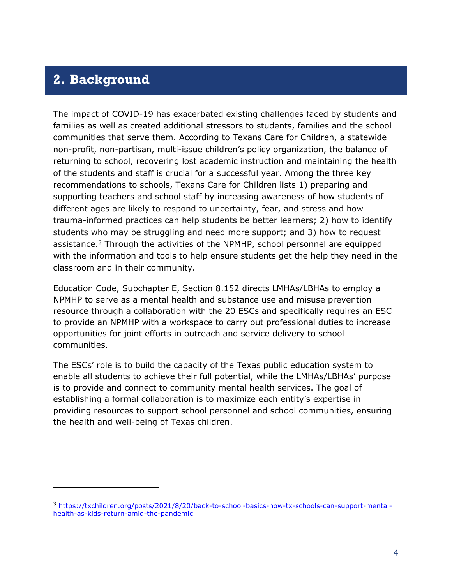#### <span id="page-5-0"></span>**2. Background**

The impact of COVID-19 has exacerbated existing challenges faced by students and families as well as created additional stressors to students, families and the school communities that serve them. According to Texans Care for Children, a statewide non-profit, non-partisan, multi-issue children's policy organization, the balance of returning to school, recovering lost academic instruction and maintaining the health of the students and staff is crucial for a successful year. Among the three key recommendations to schools, Texans Care for Children lists 1) preparing and supporting teachers and school staff by increasing awareness of how students of different ages are likely to respond to uncertainty, fear, and stress and how trauma-informed practices can help students be better learners; 2) how to identify students who may be struggling and need more support; and 3) how to request assistance. $3$  Through the activities of the NPMHP, school personnel are equipped with the information and tools to help ensure students get the help they need in the classroom and in their community.

Education Code, Subchapter E, Section 8.152 directs LMHAs/LBHAs to employ a NPMHP to serve as a mental health and substance use and misuse prevention resource through a collaboration with the 20 ESCs and specifically requires an ESC to provide an NPMHP with a workspace to carry out professional duties to increase opportunities for joint efforts in outreach and service delivery to school communities.

The ESCs' role is to build the capacity of the Texas public education system to enable all students to achieve their full potential, while the LMHAs/LBHAs' purpose is to provide and connect to community mental health services. The goal of establishing a formal collaboration is to maximize each entity's expertise in providing resources to support school personnel and school communities, ensuring the health and well-being of Texas children.

<span id="page-5-1"></span><sup>3</sup> [https://txchildren.org/posts/2021/8/20/back-to-school-basics-how-tx-schools-can-support-mental](https://txchildren.org/posts/2021/8/20/back-to-school-basics-how-tx-schools-can-support-mental-health-as-kids-return-amid-the-pandemic)[health-as-kids-return-amid-the-pandemic](https://txchildren.org/posts/2021/8/20/back-to-school-basics-how-tx-schools-can-support-mental-health-as-kids-return-amid-the-pandemic)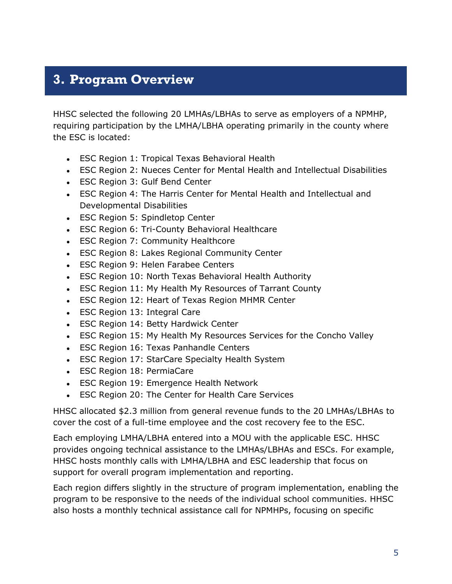## <span id="page-6-0"></span>**3. Program Overview**

HHSC selected the following 20 LMHAs/LBHAs to serve as employers of a NPMHP, requiring participation by the LMHA/LBHA operating primarily in the county where the ESC is located:

- ESC Region 1: Tropical Texas Behavioral Health
- ESC Region 2: Nueces Center for Mental Health and Intellectual Disabilities
- ESC Region 3: Gulf Bend Center
- ESC Region 4: The Harris Center for Mental Health and Intellectual and Developmental Disabilities
- ESC Region 5: Spindletop Center
- ESC Region 6: Tri-County Behavioral Healthcare
- ESC Region 7: Community Healthcore
- ESC Region 8: Lakes Regional Community Center
- ESC Region 9: Helen Farabee Centers
- ESC Region 10: North Texas Behavioral Health Authority
- ESC Region 11: My Health My Resources of Tarrant County
- ESC Region 12: Heart of Texas Region MHMR Center
- ESC Region 13: Integral Care
- ESC Region 14: Betty Hardwick Center
- ESC Region 15: My Health My Resources Services for the Concho Valley
- ESC Region 16: Texas Panhandle Centers
- ESC Region 17: StarCare Specialty Health System
- ESC Region 18: PermiaCare
- ESC Region 19: Emergence Health Network
- ESC Region 20: The Center for Health Care Services

HHSC allocated \$2.3 million from general revenue funds to the 20 LMHAs/LBHAs to cover the cost of a full-time employee and the cost recovery fee to the ESC.

Each employing LMHA/LBHA entered into a MOU with the applicable ESC. HHSC provides ongoing technical assistance to the LMHAs/LBHAs and ESCs. For example, HHSC hosts monthly calls with LMHA/LBHA and ESC leadership that focus on support for overall program implementation and reporting.

Each region differs slightly in the structure of program implementation, enabling the program to be responsive to the needs of the individual school communities. HHSC also hosts a monthly technical assistance call for NPMHPs, focusing on specific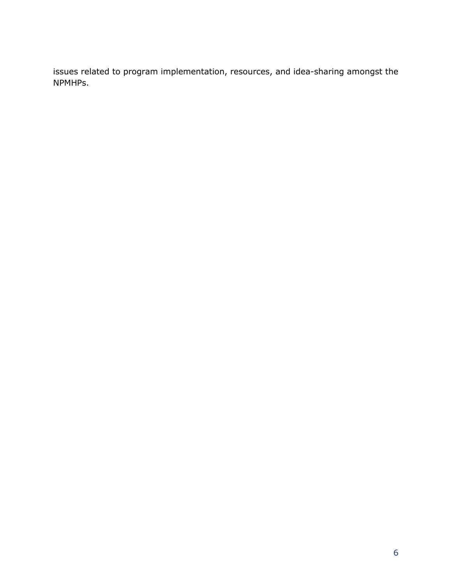issues related to program implementation, resources, and idea-sharing amongst the NPMHPs.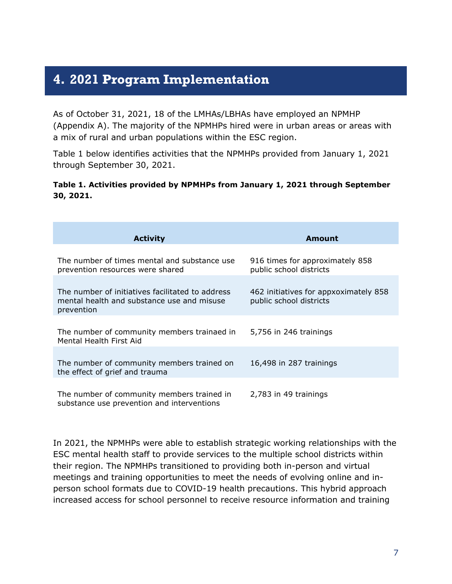### <span id="page-8-0"></span>**4. 2021 Program Implementation**

As of October 31, 2021, 18 of the LMHAs/LBHAs have employed an NPMHP (Appendix A). The majority of the NPMHPs hired were in urban areas or areas with a mix of rural and urban populations within the ESC region.

Table 1 below identifies activities that the NPMHPs provided from January 1, 2021 through September 30, 2021.

#### **Table 1. Activities provided by NPMHPs from January 1, 2021 through September 30, 2021.**

| <b>Activity</b>                                                                                              | Amount                                                           |
|--------------------------------------------------------------------------------------------------------------|------------------------------------------------------------------|
|                                                                                                              |                                                                  |
| The number of times mental and substance use<br>prevention resources were shared                             | 916 times for approximately 858<br>public school districts       |
|                                                                                                              |                                                                  |
| The number of initiatives facilitated to address<br>mental health and substance use and misuse<br>prevention | 462 initiatives for appxoximately 858<br>public school districts |
|                                                                                                              |                                                                  |
| The number of community members trainaed in<br>Mental Health First Aid                                       | 5,756 in 246 trainings                                           |
|                                                                                                              |                                                                  |
| The number of community members trained on<br>the effect of grief and trauma                                 | 16,498 in 287 trainings                                          |
|                                                                                                              |                                                                  |
| The number of community members trained in<br>substance use prevention and interventions                     | 2,783 in 49 trainings                                            |

In 2021, the NPMHPs were able to establish strategic working relationships with the ESC mental health staff to provide services to the multiple school districts within their region. The NPMHPs transitioned to providing both in-person and virtual meetings and training opportunities to meet the needs of evolving online and inperson school formats due to COVID-19 health precautions. This hybrid approach increased access for school personnel to receive resource information and training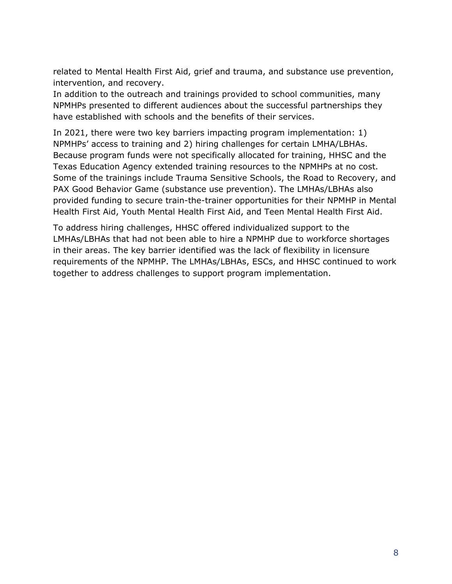related to Mental Health First Aid, grief and trauma, and substance use prevention, intervention, and recovery.

In addition to the outreach and trainings provided to school communities, many NPMHPs presented to different audiences about the successful partnerships they have established with schools and the benefits of their services.

In 2021, there were two key barriers impacting program implementation: 1) NPMHPs' access to training and 2) hiring challenges for certain LMHA/LBHAs. Because program funds were not specifically allocated for training, HHSC and the Texas Education Agency extended training resources to the NPMHPs at no cost. Some of the trainings include Trauma Sensitive Schools, the Road to Recovery, and PAX Good Behavior Game (substance use prevention). The LMHAs/LBHAs also provided funding to secure train-the-trainer opportunities for their NPMHP in Mental Health First Aid, Youth Mental Health First Aid, and Teen Mental Health First Aid.

To address hiring challenges, HHSC offered individualized support to the LMHAs/LBHAs that had not been able to hire a NPMHP due to workforce shortages in their areas. The key barrier identified was the lack of flexibility in licensure requirements of the NPMHP. The LMHAs/LBHAs, ESCs, and HHSC continued to work together to address challenges to support program implementation.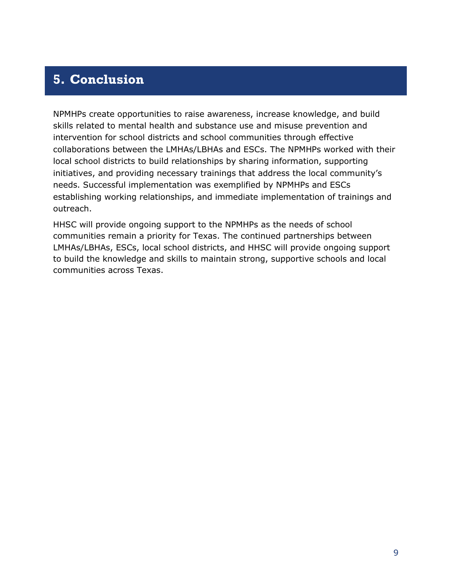## <span id="page-10-0"></span>**5. Conclusion**

NPMHPs create opportunities to raise awareness, increase knowledge, and build skills related to mental health and substance use and misuse prevention and intervention for school districts and school communities through effective collaborations between the LMHAs/LBHAs and ESCs. The NPMHPs worked with their local school districts to build relationships by sharing information, supporting initiatives, and providing necessary trainings that address the local community's needs. Successful implementation was exemplified by NPMHPs and ESCs establishing working relationships, and immediate implementation of trainings and outreach.

HHSC will provide ongoing support to the NPMHPs as the needs of school communities remain a priority for Texas. The continued partnerships between LMHAs/LBHAs, ESCs, local school districts, and HHSC will provide ongoing support to build the knowledge and skills to maintain strong, supportive schools and local communities across Texas.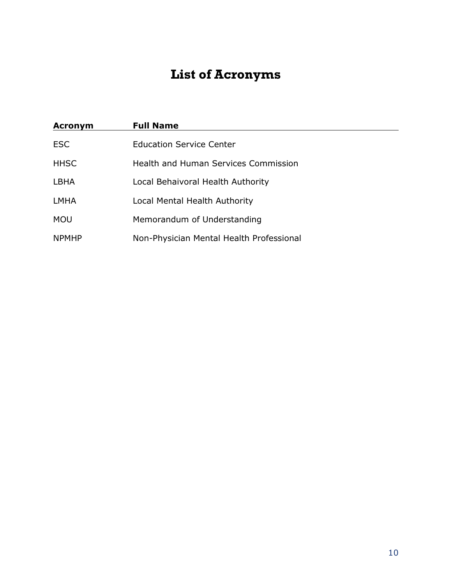# **List of Acronyms**

<span id="page-11-0"></span>

| <b>Acronym</b> | <b>Full Name</b>                            |
|----------------|---------------------------------------------|
| <b>ESC</b>     | <b>Education Service Center</b>             |
| <b>HHSC</b>    | <b>Health and Human Services Commission</b> |
| <b>LBHA</b>    | Local Behaivoral Health Authority           |
| <b>LMHA</b>    | Local Mental Health Authority               |
| <b>MOU</b>     | Memorandum of Understanding                 |
| <b>NPMHP</b>   | Non-Physician Mental Health Professional    |